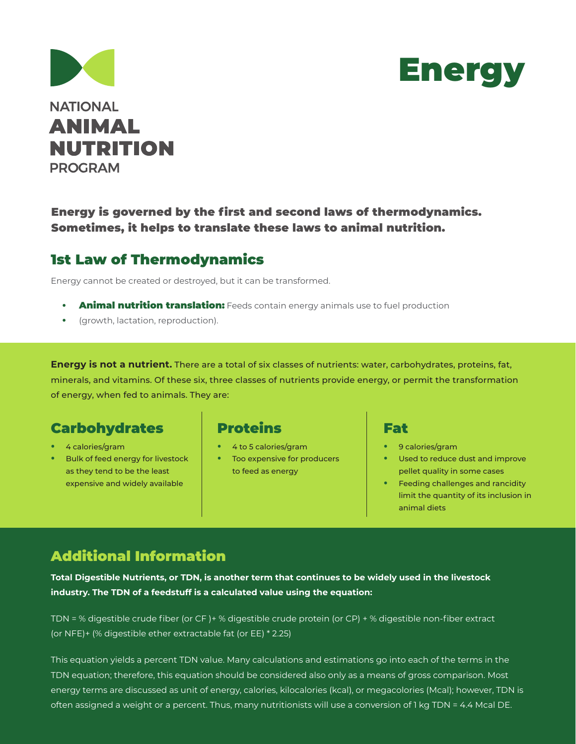



#### Energy is governed by the first and second laws of thermodynamics. Sometimes, it helps to translate these laws to animal nutrition.

## 1st Law of Thermodynamics

Energy cannot be created or destroyed, but it can be transformed.

- **Animal nutrition translation:** Feeds contain energy animals use to fuel production
- **•** (growth, lactation, reproduction).

**Energy is not a nutrient.** There are a total of six classes of nutrients: water, carbohydrates, proteins, fat, minerals, and vitamins. Of these six, three classes of nutrients provide energy, or permit the transformation of energy, when fed to animals. They are:

## Carbohydrates

- **•** 4 calories/gram
- **•** Bulk of feed energy for livestock as they tend to be the least expensive and widely available

## Proteins

- **•** 4 to 5 calories/gram
- **•** Too expensive for producers to feed as energy

#### Fat

- **•** 9 calories/gram
- **•** Used to reduce dust and improve pellet quality in some cases
- **•** Feeding challenges and rancidity limit the quantity of its inclusion in animal diets

# Additional Information

**Total Digestible Nutrients, or TDN, is another term that continues to be widely used in the livestock industry. The TDN of a feedstuff is a calculated value using the equation:**

TDN = % digestible crude fiber (or CF )+ % digestible crude protein (or CP) + % digestible non-fiber extract (or NFE)+ (% digestible ether extractable fat (or EE) \* 2.25)

This equation yields a percent TDN value. Many calculations and estimations go into each of the terms in the TDN equation; therefore, this equation should be considered also only as a means of gross comparison. Most energy terms are discussed as unit of energy, calories, kilocalories (kcal), or megacolories (Mcal); however, TDN is often assigned a weight or a percent. Thus, many nutritionists will use a conversion of 1 kg TDN = 4.4 Mcal DE.